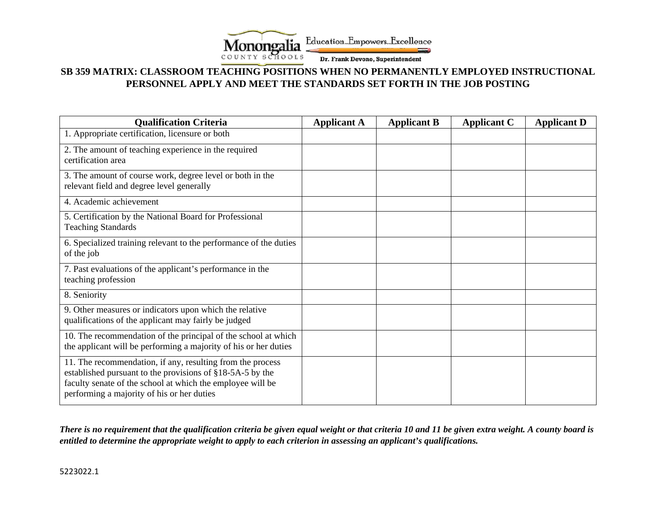

## **SB 359 MATRIX: CLASSROOM TEACHING POSITIONS WHEN NO PERMANENTLY EMPLOYED INSTRUCTIONAL PERSONNEL APPLY AND MEET THE STANDARDS SET FORTH IN THE JOB POSTING**

| <b>Qualification Criteria</b>                                                                                                                                                                                                       | <b>Applicant A</b> | <b>Applicant B</b> | <b>Applicant C</b> | <b>Applicant D</b> |
|-------------------------------------------------------------------------------------------------------------------------------------------------------------------------------------------------------------------------------------|--------------------|--------------------|--------------------|--------------------|
| 1. Appropriate certification, licensure or both                                                                                                                                                                                     |                    |                    |                    |                    |
| 2. The amount of teaching experience in the required<br>certification area                                                                                                                                                          |                    |                    |                    |                    |
|                                                                                                                                                                                                                                     |                    |                    |                    |                    |
| 3. The amount of course work, degree level or both in the<br>relevant field and degree level generally                                                                                                                              |                    |                    |                    |                    |
| 4. Academic achievement                                                                                                                                                                                                             |                    |                    |                    |                    |
| 5. Certification by the National Board for Professional<br><b>Teaching Standards</b>                                                                                                                                                |                    |                    |                    |                    |
| 6. Specialized training relevant to the performance of the duties<br>of the job                                                                                                                                                     |                    |                    |                    |                    |
| 7. Past evaluations of the applicant's performance in the<br>teaching profession                                                                                                                                                    |                    |                    |                    |                    |
| 8. Seniority                                                                                                                                                                                                                        |                    |                    |                    |                    |
| 9. Other measures or indicators upon which the relative<br>qualifications of the applicant may fairly be judged                                                                                                                     |                    |                    |                    |                    |
| 10. The recommendation of the principal of the school at which<br>the applicant will be performing a majority of his or her duties                                                                                                  |                    |                    |                    |                    |
| 11. The recommendation, if any, resulting from the process<br>established pursuant to the provisions of §18-5A-5 by the<br>faculty senate of the school at which the employee will be<br>performing a majority of his or her duties |                    |                    |                    |                    |

*There is no requirement that the qualification criteria be given equal weight or that criteria 10 and 11 be given extra weight. A county board is entitled to determine the appropriate weight to apply to each criterion in assessing an applicant's qualifications.*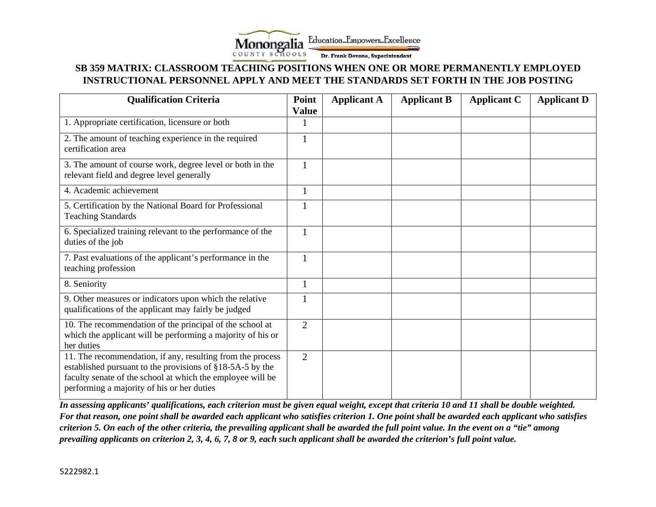

## **SB 359 MATRIX: CLASSROOM TEACHING POSITIONS WHEN ONE OR MORE PERMANENTLY EMPLOYED INSTRUCTIONAL PERSONNEL APPLY AND MEET THE STANDARDS SET FORTH IN THE JOB POSTING**

| <b>Qualification Criteria</b>                                                                                                                                                                                                       | Point<br><b>Value</b> | <b>Applicant A</b> | <b>Applicant B</b> | <b>Applicant C</b> | <b>Applicant D</b> |
|-------------------------------------------------------------------------------------------------------------------------------------------------------------------------------------------------------------------------------------|-----------------------|--------------------|--------------------|--------------------|--------------------|
| 1. Appropriate certification, licensure or both                                                                                                                                                                                     | 1                     |                    |                    |                    |                    |
| 2. The amount of teaching experience in the required<br>certification area                                                                                                                                                          | 1                     |                    |                    |                    |                    |
| 3. The amount of course work, degree level or both in the<br>relevant field and degree level generally                                                                                                                              | $\mathbf{1}$          |                    |                    |                    |                    |
| 4. Academic achievement                                                                                                                                                                                                             | $\mathbf{1}$          |                    |                    |                    |                    |
| 5. Certification by the National Board for Professional<br><b>Teaching Standards</b>                                                                                                                                                | 1                     |                    |                    |                    |                    |
| 6. Specialized training relevant to the performance of the<br>duties of the job                                                                                                                                                     | $\mathbf{1}$          |                    |                    |                    |                    |
| 7. Past evaluations of the applicant's performance in the<br>teaching profession                                                                                                                                                    | 1                     |                    |                    |                    |                    |
| 8. Seniority                                                                                                                                                                                                                        | 1                     |                    |                    |                    |                    |
| 9. Other measures or indicators upon which the relative<br>qualifications of the applicant may fairly be judged                                                                                                                     | 1                     |                    |                    |                    |                    |
| 10. The recommendation of the principal of the school at<br>which the applicant will be performing a majority of his or<br>her duties                                                                                               | $\overline{2}$        |                    |                    |                    |                    |
| 11. The recommendation, if any, resulting from the process<br>established pursuant to the provisions of §18-5A-5 by the<br>faculty senate of the school at which the employee will be<br>performing a majority of his or her duties | $\overline{2}$        |                    |                    |                    |                    |

*In assessing applicants' qualifications, each criterion must be given equal weight, except that criteria 10 and 11 shall be double weighted. For that reason, one point shall be awarded each applicant who satisfies criterion 1. One point shall be awarded each applicant who satisfies criterion 5. On each of the other criteria, the prevailing applicant shall be awarded the full point value. In the event on a "tie" among prevailing applicants on criterion 2, 3, 4, 6, 7, 8 or 9, each such applicant shall be awarded the criterion's full point value.*